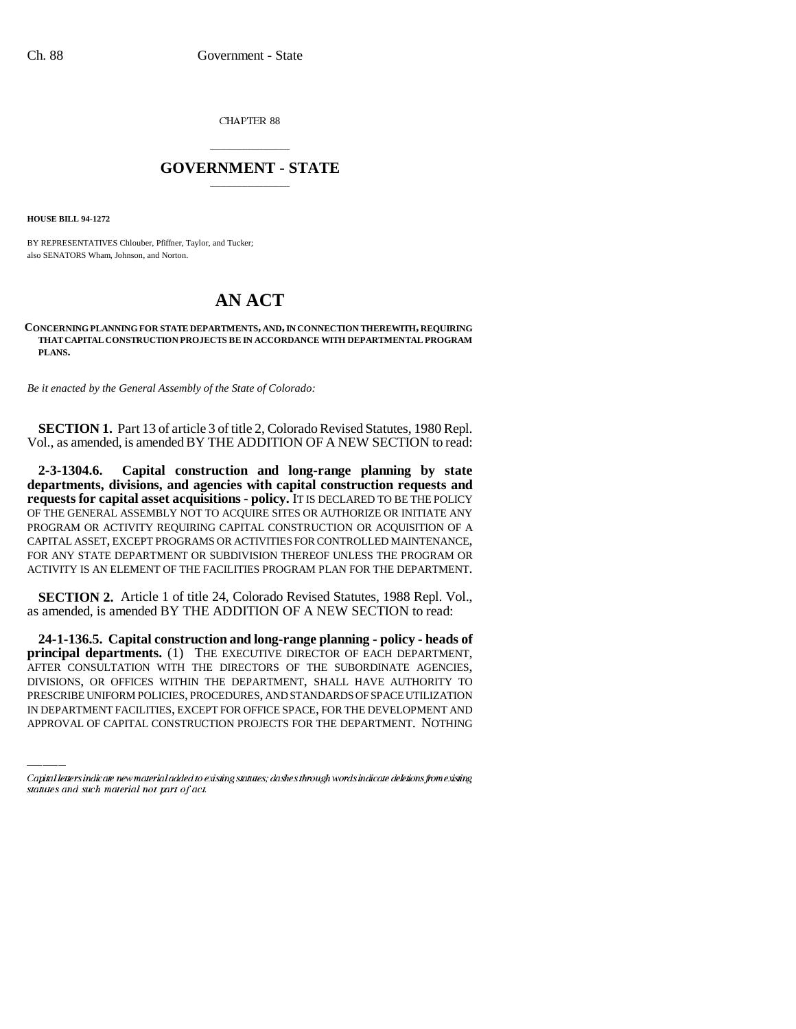CHAPTER 88

# \_\_\_\_\_\_\_\_\_\_\_\_\_\_\_ **GOVERNMENT - STATE** \_\_\_\_\_\_\_\_\_\_\_\_\_\_\_

**HOUSE BILL 94-1272**

BY REPRESENTATIVES Chlouber, Pfiffner, Taylor, and Tucker; also SENATORS Wham, Johnson, and Norton.

# **AN ACT**

#### **CONCERNING PLANNING FOR STATE DEPARTMENTS, AND, IN CONNECTION THEREWITH, REQUIRING THAT CAPITAL CONSTRUCTION PROJECTS BE IN ACCORDANCE WITH DEPARTMENTAL PROGRAM PLANS.**

*Be it enacted by the General Assembly of the State of Colorado:*

**SECTION 1.** Part 13 of article 3 of title 2, Colorado Revised Statutes, 1980 Repl. Vol., as amended, is amended BY THE ADDITION OF A NEW SECTION to read:

**2-3-1304.6. Capital construction and long-range planning by state departments, divisions, and agencies with capital construction requests and requests for capital asset acquisitions - policy.** IT IS DECLARED TO BE THE POLICY OF THE GENERAL ASSEMBLY NOT TO ACQUIRE SITES OR AUTHORIZE OR INITIATE ANY PROGRAM OR ACTIVITY REQUIRING CAPITAL CONSTRUCTION OR ACQUISITION OF A CAPITAL ASSET, EXCEPT PROGRAMS OR ACTIVITIES FOR CONTROLLED MAINTENANCE, FOR ANY STATE DEPARTMENT OR SUBDIVISION THEREOF UNLESS THE PROGRAM OR ACTIVITY IS AN ELEMENT OF THE FACILITIES PROGRAM PLAN FOR THE DEPARTMENT.

**SECTION 2.** Article 1 of title 24, Colorado Revised Statutes, 1988 Repl. Vol., as amended, is amended BY THE ADDITION OF A NEW SECTION to read:

AFTER CONSULTATION WITH THE DIRECTORS OF THE SUBORDINATE AGENCIES, **24-1-136.5. Capital construction and long-range planning - policy - heads of principal departments.** (1) THE EXECUTIVE DIRECTOR OF EACH DEPARTMENT, DIVISIONS, OR OFFICES WITHIN THE DEPARTMENT, SHALL HAVE AUTHORITY TO PRESCRIBE UNIFORM POLICIES, PROCEDURES, AND STANDARDS OF SPACE UTILIZATION IN DEPARTMENT FACILITIES, EXCEPT FOR OFFICE SPACE, FOR THE DEVELOPMENT AND APPROVAL OF CAPITAL CONSTRUCTION PROJECTS FOR THE DEPARTMENT. NOTHING

Capital letters indicate new material added to existing statutes; dashes through words indicate deletions from existing statutes and such material not part of act.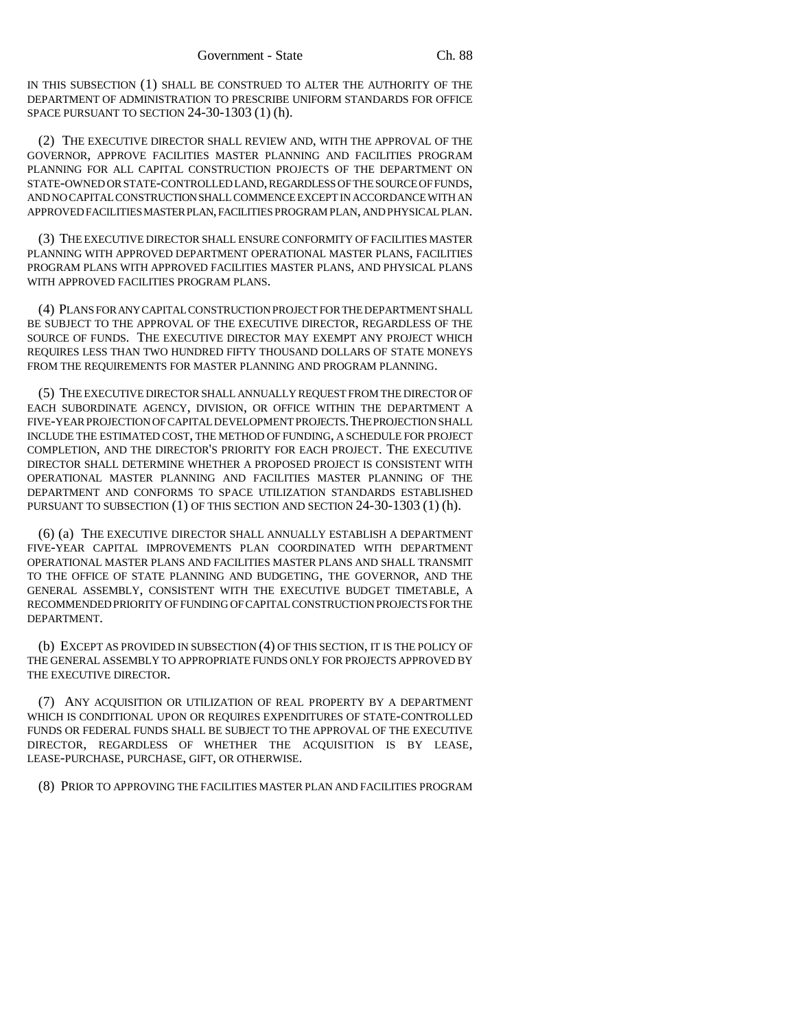IN THIS SUBSECTION (1) SHALL BE CONSTRUED TO ALTER THE AUTHORITY OF THE DEPARTMENT OF ADMINISTRATION TO PRESCRIBE UNIFORM STANDARDS FOR OFFICE SPACE PURSUANT TO SECTION 24-30-1303 (1) (h).

(2) THE EXECUTIVE DIRECTOR SHALL REVIEW AND, WITH THE APPROVAL OF THE GOVERNOR, APPROVE FACILITIES MASTER PLANNING AND FACILITIES PROGRAM PLANNING FOR ALL CAPITAL CONSTRUCTION PROJECTS OF THE DEPARTMENT ON STATE-OWNED OR STATE-CONTROLLED LAND, REGARDLESS OF THE SOURCE OF FUNDS, AND NO CAPITAL CONSTRUCTION SHALL COMMENCE EXCEPT IN ACCORDANCE WITH AN APPROVED FACILITIES MASTER PLAN, FACILITIES PROGRAM PLAN, AND PHYSICAL PLAN.

(3) THE EXECUTIVE DIRECTOR SHALL ENSURE CONFORMITY OF FACILITIES MASTER PLANNING WITH APPROVED DEPARTMENT OPERATIONAL MASTER PLANS, FACILITIES PROGRAM PLANS WITH APPROVED FACILITIES MASTER PLANS, AND PHYSICAL PLANS WITH APPROVED FACILITIES PROGRAM PLANS.

(4) PLANS FOR ANY CAPITAL CONSTRUCTION PROJECT FOR THE DEPARTMENT SHALL BE SUBJECT TO THE APPROVAL OF THE EXECUTIVE DIRECTOR, REGARDLESS OF THE SOURCE OF FUNDS. THE EXECUTIVE DIRECTOR MAY EXEMPT ANY PROJECT WHICH REQUIRES LESS THAN TWO HUNDRED FIFTY THOUSAND DOLLARS OF STATE MONEYS FROM THE REQUIREMENTS FOR MASTER PLANNING AND PROGRAM PLANNING.

(5) THE EXECUTIVE DIRECTOR SHALL ANNUALLY REQUEST FROM THE DIRECTOR OF EACH SUBORDINATE AGENCY, DIVISION, OR OFFICE WITHIN THE DEPARTMENT A FIVE-YEAR PROJECTION OF CAPITAL DEVELOPMENT PROJECTS.THE PROJECTION SHALL INCLUDE THE ESTIMATED COST, THE METHOD OF FUNDING, A SCHEDULE FOR PROJECT COMPLETION, AND THE DIRECTOR'S PRIORITY FOR EACH PROJECT. THE EXECUTIVE DIRECTOR SHALL DETERMINE WHETHER A PROPOSED PROJECT IS CONSISTENT WITH OPERATIONAL MASTER PLANNING AND FACILITIES MASTER PLANNING OF THE DEPARTMENT AND CONFORMS TO SPACE UTILIZATION STANDARDS ESTABLISHED PURSUANT TO SUBSECTION (1) OF THIS SECTION AND SECTION 24-30-1303 (1) (h).

(6) (a) THE EXECUTIVE DIRECTOR SHALL ANNUALLY ESTABLISH A DEPARTMENT FIVE-YEAR CAPITAL IMPROVEMENTS PLAN COORDINATED WITH DEPARTMENT OPERATIONAL MASTER PLANS AND FACILITIES MASTER PLANS AND SHALL TRANSMIT TO THE OFFICE OF STATE PLANNING AND BUDGETING, THE GOVERNOR, AND THE GENERAL ASSEMBLY, CONSISTENT WITH THE EXECUTIVE BUDGET TIMETABLE, A RECOMMENDED PRIORITY OF FUNDING OF CAPITAL CONSTRUCTION PROJECTS FOR THE DEPARTMENT.

(b) EXCEPT AS PROVIDED IN SUBSECTION (4) OF THIS SECTION, IT IS THE POLICY OF THE GENERAL ASSEMBLY TO APPROPRIATE FUNDS ONLY FOR PROJECTS APPROVED BY THE EXECUTIVE DIRECTOR.

(7) ANY ACQUISITION OR UTILIZATION OF REAL PROPERTY BY A DEPARTMENT WHICH IS CONDITIONAL UPON OR REQUIRES EXPENDITURES OF STATE-CONTROLLED FUNDS OR FEDERAL FUNDS SHALL BE SUBJECT TO THE APPROVAL OF THE EXECUTIVE DIRECTOR, REGARDLESS OF WHETHER THE ACQUISITION IS BY LEASE, LEASE-PURCHASE, PURCHASE, GIFT, OR OTHERWISE.

(8) PRIOR TO APPROVING THE FACILITIES MASTER PLAN AND FACILITIES PROGRAM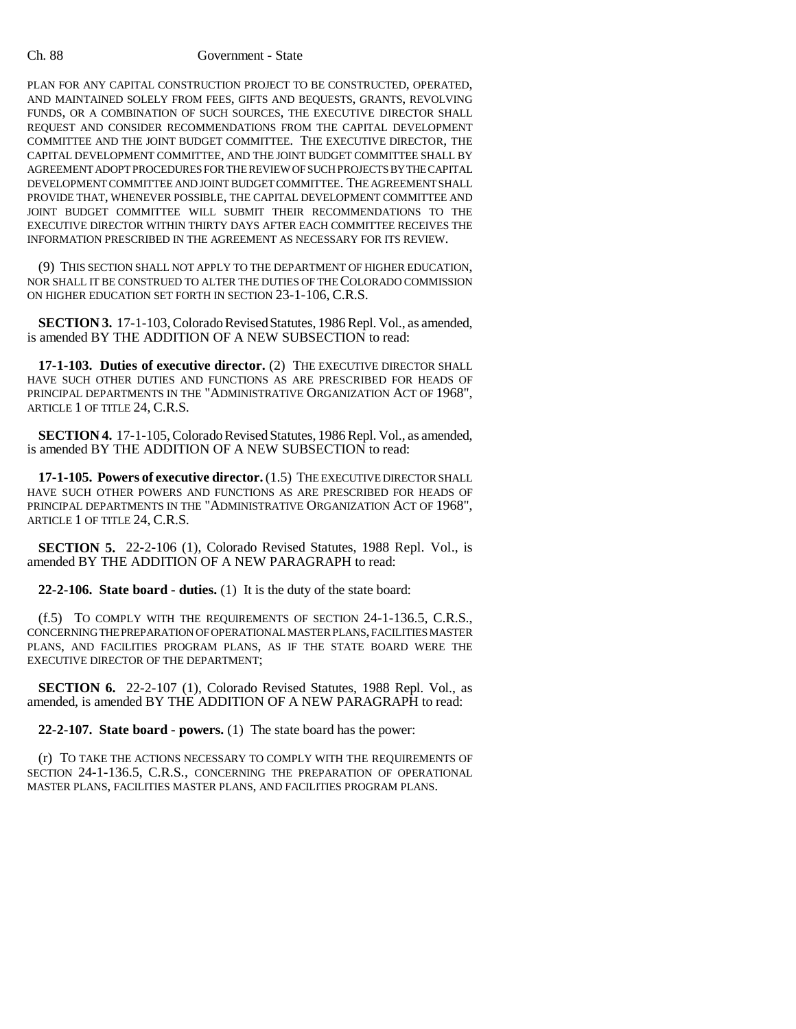### Ch. 88 Government - State

PLAN FOR ANY CAPITAL CONSTRUCTION PROJECT TO BE CONSTRUCTED, OPERATED, AND MAINTAINED SOLELY FROM FEES, GIFTS AND BEQUESTS, GRANTS, REVOLVING FUNDS, OR A COMBINATION OF SUCH SOURCES, THE EXECUTIVE DIRECTOR SHALL REQUEST AND CONSIDER RECOMMENDATIONS FROM THE CAPITAL DEVELOPMENT COMMITTEE AND THE JOINT BUDGET COMMITTEE. THE EXECUTIVE DIRECTOR, THE CAPITAL DEVELOPMENT COMMITTEE, AND THE JOINT BUDGET COMMITTEE SHALL BY AGREEMENT ADOPT PROCEDURES FOR THE REVIEW OF SUCH PROJECTS BY THE CAPITAL DEVELOPMENT COMMITTEE AND JOINT BUDGET COMMITTEE. THE AGREEMENT SHALL PROVIDE THAT, WHENEVER POSSIBLE, THE CAPITAL DEVELOPMENT COMMITTEE AND JOINT BUDGET COMMITTEE WILL SUBMIT THEIR RECOMMENDATIONS TO THE EXECUTIVE DIRECTOR WITHIN THIRTY DAYS AFTER EACH COMMITTEE RECEIVES THE INFORMATION PRESCRIBED IN THE AGREEMENT AS NECESSARY FOR ITS REVIEW.

(9) THIS SECTION SHALL NOT APPLY TO THE DEPARTMENT OF HIGHER EDUCATION, NOR SHALL IT BE CONSTRUED TO ALTER THE DUTIES OF THE COLORADO COMMISSION ON HIGHER EDUCATION SET FORTH IN SECTION 23-1-106, C.R.S.

**SECTION 3.** 17-1-103, Colorado Revised Statutes, 1986 Repl. Vol., as amended, is amended BY THE ADDITION OF A NEW SUBSECTION to read:

**17-1-103. Duties of executive director.** (2) THE EXECUTIVE DIRECTOR SHALL HAVE SUCH OTHER DUTIES AND FUNCTIONS AS ARE PRESCRIBED FOR HEADS OF PRINCIPAL DEPARTMENTS IN THE "ADMINISTRATIVE ORGANIZATION ACT OF 1968", ARTICLE 1 OF TITLE 24, C.R.S.

**SECTION 4.** 17-1-105, Colorado Revised Statutes, 1986 Repl. Vol., as amended, is amended BY THE ADDITION OF A NEW SUBSECTION to read:

**17-1-105. Powers of executive director.** (1.5) THE EXECUTIVE DIRECTOR SHALL HAVE SUCH OTHER POWERS AND FUNCTIONS AS ARE PRESCRIBED FOR HEADS OF PRINCIPAL DEPARTMENTS IN THE "ADMINISTRATIVE ORGANIZATION ACT OF 1968", ARTICLE 1 OF TITLE 24, C.R.S.

**SECTION 5.** 22-2-106 (1), Colorado Revised Statutes, 1988 Repl. Vol., is amended BY THE ADDITION OF A NEW PARAGRAPH to read:

**22-2-106. State board - duties.** (1) It is the duty of the state board:

(f.5) TO COMPLY WITH THE REQUIREMENTS OF SECTION 24-1-136.5, C.R.S., CONCERNING THE PREPARATION OF OPERATIONAL MASTER PLANS, FACILITIES MASTER PLANS, AND FACILITIES PROGRAM PLANS, AS IF THE STATE BOARD WERE THE EXECUTIVE DIRECTOR OF THE DEPARTMENT;

**SECTION 6.** 22-2-107 (1), Colorado Revised Statutes, 1988 Repl. Vol., as amended, is amended BY THE ADDITION OF A NEW PARAGRAPH to read:

**22-2-107. State board - powers.** (1) The state board has the power:

(r) TO TAKE THE ACTIONS NECESSARY TO COMPLY WITH THE REQUIREMENTS OF SECTION 24-1-136.5, C.R.S., CONCERNING THE PREPARATION OF OPERATIONAL MASTER PLANS, FACILITIES MASTER PLANS, AND FACILITIES PROGRAM PLANS.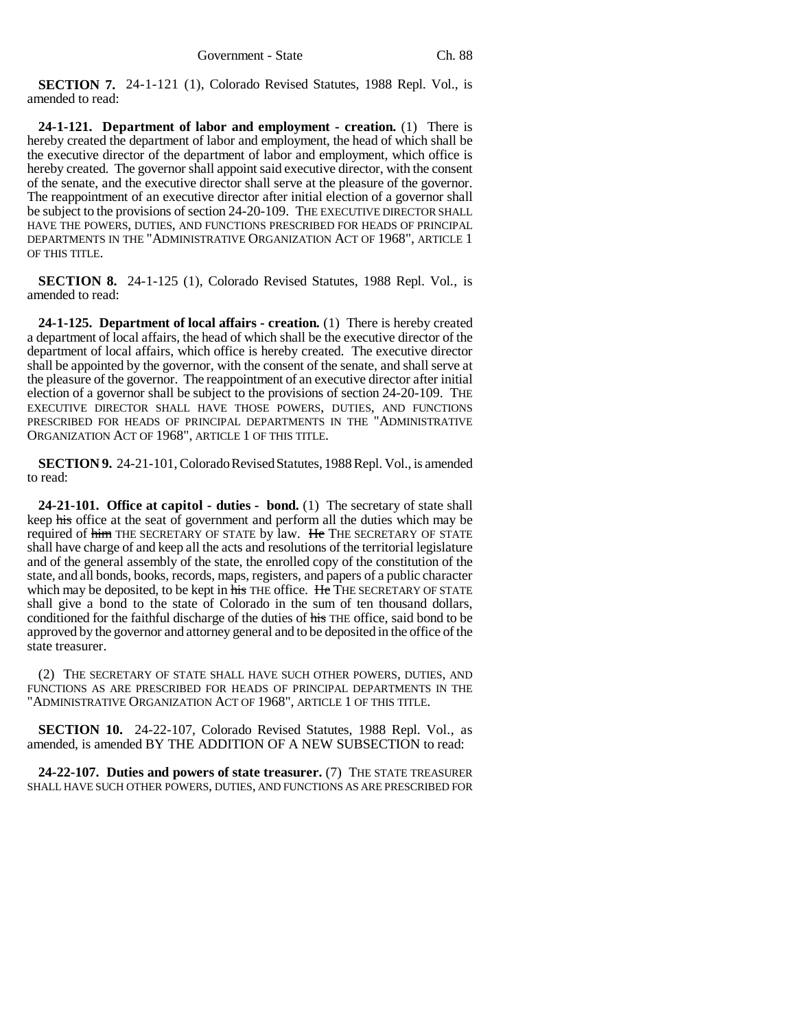**SECTION 7.** 24-1-121 (1), Colorado Revised Statutes, 1988 Repl. Vol., is amended to read:

**24-1-121. Department of labor and employment - creation.** (1) There is hereby created the department of labor and employment, the head of which shall be the executive director of the department of labor and employment, which office is hereby created. The governor shall appoint said executive director, with the consent of the senate, and the executive director shall serve at the pleasure of the governor. The reappointment of an executive director after initial election of a governor shall be subject to the provisions of section 24-20-109. THE EXECUTIVE DIRECTOR SHALL HAVE THE POWERS, DUTIES, AND FUNCTIONS PRESCRIBED FOR HEADS OF PRINCIPAL DEPARTMENTS IN THE "ADMINISTRATIVE ORGANIZATION ACT OF 1968", ARTICLE 1 OF THIS TITLE.

**SECTION 8.** 24-1-125 (1), Colorado Revised Statutes, 1988 Repl. Vol., is amended to read:

**24-1-125. Department of local affairs - creation.** (1) There is hereby created a department of local affairs, the head of which shall be the executive director of the department of local affairs, which office is hereby created. The executive director shall be appointed by the governor, with the consent of the senate, and shall serve at the pleasure of the governor. The reappointment of an executive director after initial election of a governor shall be subject to the provisions of section 24-20-109. THE EXECUTIVE DIRECTOR SHALL HAVE THOSE POWERS, DUTIES, AND FUNCTIONS PRESCRIBED FOR HEADS OF PRINCIPAL DEPARTMENTS IN THE "ADMINISTRATIVE ORGANIZATION ACT OF 1968", ARTICLE 1 OF THIS TITLE.

**SECTION 9.** 24-21-101, Colorado Revised Statutes, 1988 Repl. Vol., is amended to read:

**24-21-101. Office at capitol - duties - bond.** (1) The secretary of state shall keep his office at the seat of government and perform all the duties which may be required of him THE SECRETARY OF STATE by law. He THE SECRETARY OF STATE shall have charge of and keep all the acts and resolutions of the territorial legislature and of the general assembly of the state, the enrolled copy of the constitution of the state, and all bonds, books, records, maps, registers, and papers of a public character which may be deposited, to be kept in his THE office. He THE SECRETARY OF STATE shall give a bond to the state of Colorado in the sum of ten thousand dollars, conditioned for the faithful discharge of the duties of his THE office, said bond to be approved by the governor and attorney general and to be deposited in the office of the state treasurer.

(2) THE SECRETARY OF STATE SHALL HAVE SUCH OTHER POWERS, DUTIES, AND FUNCTIONS AS ARE PRESCRIBED FOR HEADS OF PRINCIPAL DEPARTMENTS IN THE "ADMINISTRATIVE ORGANIZATION ACT OF 1968", ARTICLE 1 OF THIS TITLE.

**SECTION 10.** 24-22-107, Colorado Revised Statutes, 1988 Repl. Vol., as amended, is amended BY THE ADDITION OF A NEW SUBSECTION to read:

**24-22-107. Duties and powers of state treasurer.** (7) THE STATE TREASURER SHALL HAVE SUCH OTHER POWERS, DUTIES, AND FUNCTIONS AS ARE PRESCRIBED FOR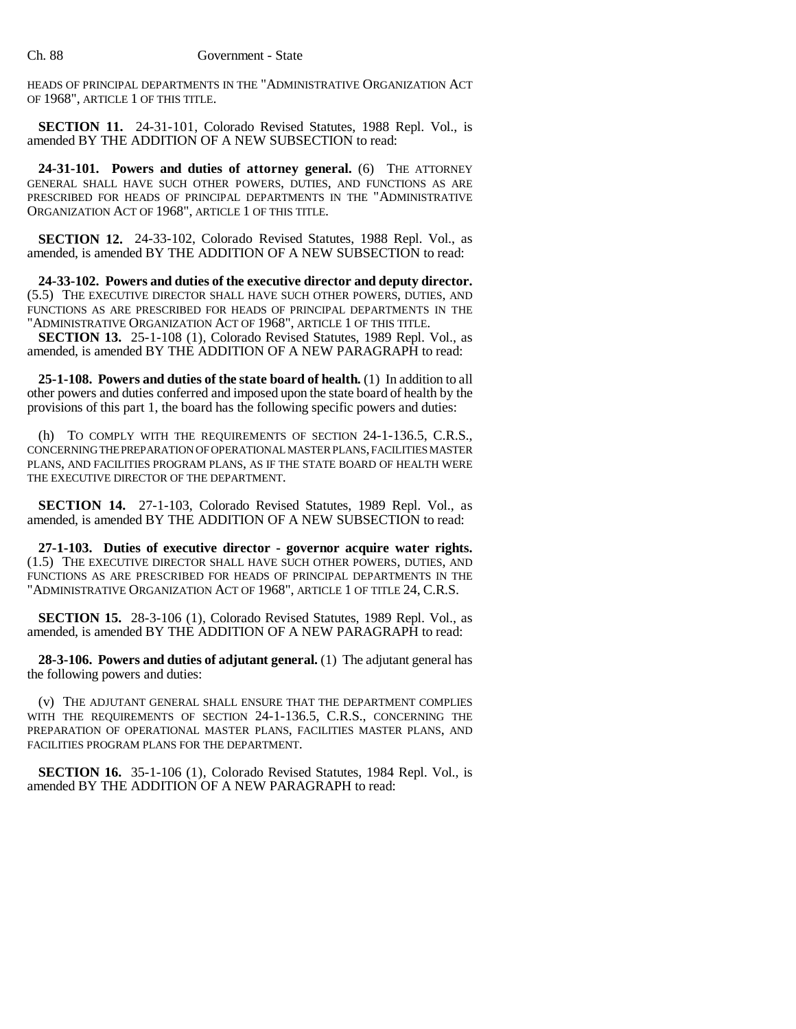HEADS OF PRINCIPAL DEPARTMENTS IN THE "ADMINISTRATIVE ORGANIZATION ACT OF 1968", ARTICLE 1 OF THIS TITLE.

**SECTION 11.** 24-31-101, Colorado Revised Statutes, 1988 Repl. Vol., is amended BY THE ADDITION OF A NEW SUBSECTION to read:

24-31-101. Powers and duties of attorney general. (6) THE ATTORNEY GENERAL SHALL HAVE SUCH OTHER POWERS, DUTIES, AND FUNCTIONS AS ARE PRESCRIBED FOR HEADS OF PRINCIPAL DEPARTMENTS IN THE "ADMINISTRATIVE ORGANIZATION ACT OF 1968", ARTICLE 1 OF THIS TITLE.

**SECTION 12.** 24-33-102, Colorado Revised Statutes, 1988 Repl. Vol., as amended, is amended BY THE ADDITION OF A NEW SUBSECTION to read:

**24-33-102. Powers and duties of the executive director and deputy director.** (5.5) THE EXECUTIVE DIRECTOR SHALL HAVE SUCH OTHER POWERS, DUTIES, AND FUNCTIONS AS ARE PRESCRIBED FOR HEADS OF PRINCIPAL DEPARTMENTS IN THE "ADMINISTRATIVE ORGANIZATION ACT OF 1968", ARTICLE 1 OF THIS TITLE.

**SECTION 13.** 25-1-108 (1), Colorado Revised Statutes, 1989 Repl. Vol., as amended, is amended BY THE ADDITION OF A NEW PARAGRAPH to read:

**25-1-108. Powers and duties of the state board of health.** (1) In addition to all other powers and duties conferred and imposed upon the state board of health by the provisions of this part 1, the board has the following specific powers and duties:

(h) TO COMPLY WITH THE REQUIREMENTS OF SECTION 24-1-136.5, C.R.S., CONCERNING THE PREPARATION OF OPERATIONAL MASTER PLANS, FACILITIES MASTER PLANS, AND FACILITIES PROGRAM PLANS, AS IF THE STATE BOARD OF HEALTH WERE THE EXECUTIVE DIRECTOR OF THE DEPARTMENT.

**SECTION 14.** 27-1-103, Colorado Revised Statutes, 1989 Repl. Vol., as amended, is amended BY THE ADDITION OF A NEW SUBSECTION to read:

**27-1-103. Duties of executive director - governor acquire water rights.** (1.5) THE EXECUTIVE DIRECTOR SHALL HAVE SUCH OTHER POWERS, DUTIES, AND FUNCTIONS AS ARE PRESCRIBED FOR HEADS OF PRINCIPAL DEPARTMENTS IN THE "ADMINISTRATIVE ORGANIZATION ACT OF 1968", ARTICLE 1 OF TITLE 24, C.R.S.

**SECTION 15.** 28-3-106 (1), Colorado Revised Statutes, 1989 Repl. Vol., as amended, is amended BY THE ADDITION OF A NEW PARAGRAPH to read:

**28-3-106. Powers and duties of adjutant general.** (1) The adjutant general has the following powers and duties:

(v) THE ADJUTANT GENERAL SHALL ENSURE THAT THE DEPARTMENT COMPLIES WITH THE REQUIREMENTS OF SECTION 24-1-136.5, C.R.S., CONCERNING THE PREPARATION OF OPERATIONAL MASTER PLANS, FACILITIES MASTER PLANS, AND FACILITIES PROGRAM PLANS FOR THE DEPARTMENT.

**SECTION 16.** 35-1-106 (1), Colorado Revised Statutes, 1984 Repl. Vol., is amended BY THE ADDITION OF A NEW PARAGRAPH to read: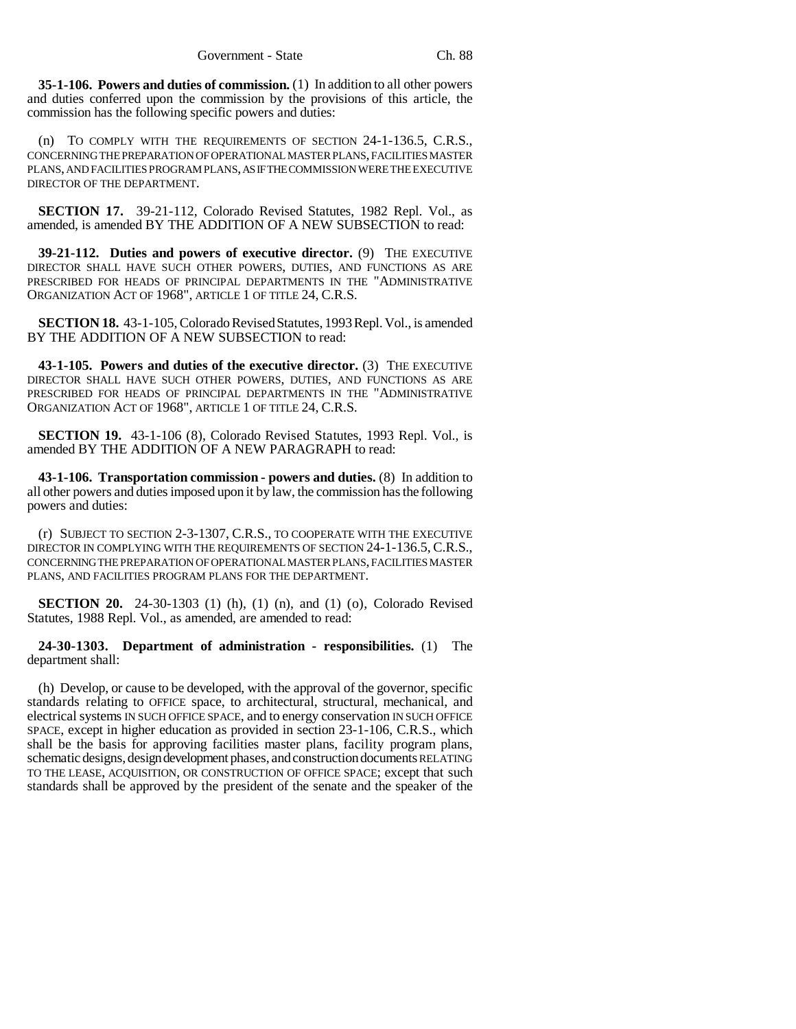**35-1-106. Powers and duties of commission.** (1) In addition to all other powers and duties conferred upon the commission by the provisions of this article, the commission has the following specific powers and duties:

(n) TO COMPLY WITH THE REQUIREMENTS OF SECTION 24-1-136.5, C.R.S., CONCERNING THE PREPARATION OF OPERATIONAL MASTER PLANS, FACILITIES MASTER PLANS, AND FACILITIES PROGRAM PLANS, AS IF THE COMMISSION WERE THE EXECUTIVE DIRECTOR OF THE DEPARTMENT.

**SECTION 17.** 39-21-112, Colorado Revised Statutes, 1982 Repl. Vol., as amended, is amended BY THE ADDITION OF A NEW SUBSECTION to read:

**39-21-112. Duties and powers of executive director.** (9) THE EXECUTIVE DIRECTOR SHALL HAVE SUCH OTHER POWERS, DUTIES, AND FUNCTIONS AS ARE PRESCRIBED FOR HEADS OF PRINCIPAL DEPARTMENTS IN THE "ADMINISTRATIVE ORGANIZATION ACT OF 1968", ARTICLE 1 OF TITLE 24, C.R.S.

**SECTION 18.** 43-1-105, Colorado Revised Statutes, 1993 Repl. Vol., is amended BY THE ADDITION OF A NEW SUBSECTION to read:

**43-1-105. Powers and duties of the executive director.** (3) THE EXECUTIVE DIRECTOR SHALL HAVE SUCH OTHER POWERS, DUTIES, AND FUNCTIONS AS ARE PRESCRIBED FOR HEADS OF PRINCIPAL DEPARTMENTS IN THE "ADMINISTRATIVE ORGANIZATION ACT OF 1968", ARTICLE 1 OF TITLE 24, C.R.S.

**SECTION 19.** 43-1-106 (8), Colorado Revised Statutes, 1993 Repl. Vol., is amended BY THE ADDITION OF A NEW PARAGRAPH to read:

**43-1-106. Transportation commission - powers and duties.** (8) In addition to all other powers and duties imposed upon it by law, the commission has the following powers and duties:

(r) SUBJECT TO SECTION 2-3-1307, C.R.S., TO COOPERATE WITH THE EXECUTIVE DIRECTOR IN COMPLYING WITH THE REQUIREMENTS OF SECTION 24-1-136.5, C.R.S., CONCERNING THE PREPARATION OF OPERATIONAL MASTER PLANS, FACILITIES MASTER PLANS, AND FACILITIES PROGRAM PLANS FOR THE DEPARTMENT.

**SECTION 20.** 24-30-1303 (1) (h), (1) (n), and (1) (o), Colorado Revised Statutes, 1988 Repl. Vol., as amended, are amended to read:

**24-30-1303. Department of administration - responsibilities.** (1) The department shall:

(h) Develop, or cause to be developed, with the approval of the governor, specific standards relating to OFFICE space, to architectural, structural, mechanical, and electrical systems IN SUCH OFFICE SPACE, and to energy conservation IN SUCH OFFICE SPACE, except in higher education as provided in section 23-1-106, C.R.S., which shall be the basis for approving facilities master plans, facility program plans, schematic designs, design development phases, and construction documents RELATING TO THE LEASE, ACQUISITION, OR CONSTRUCTION OF OFFICE SPACE; except that such standards shall be approved by the president of the senate and the speaker of the